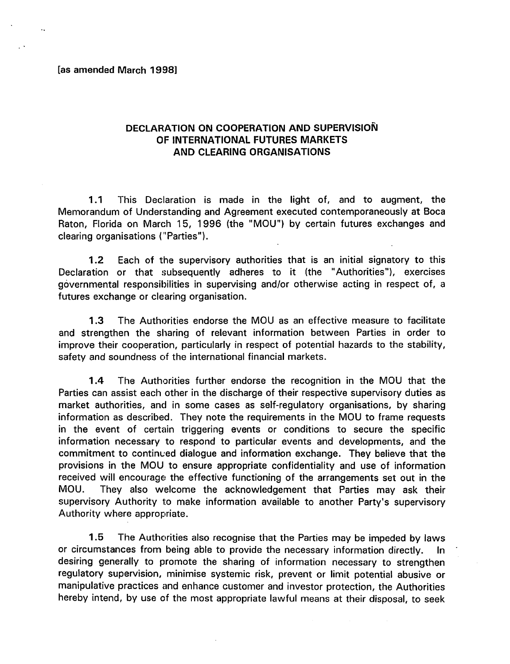#### [as amended March 1998)

 $\mathbb{R}^2$ 

### DECLARATION ON COOPERATION AND SUPERVISION OF INTERNATIONAL FUTURES MARKETS AND CLEARING ORGANISATIONS

1.1 This Declaration is made in the light of, and to augment, the Memorandum of Understanding and Agreement executed contemporaneously at Boca Raton, Florida on March 15, 1996 (the "MOU") by certain futures exchanges and clearing organisations ("Parties").

1.2 Each of the supervisory authorities that is an initial signatory to this Declaration or that subsequently adheres to it (the "Authorities"), exercises governmental responsibilities in supervising and/or otherwise acting in respect of, a futures exchange or clearing organisation.

1.3 The Authorities endorse the MOU as an effective measure to facilitate and strengthen the sharing of relevant information between Parties in order to improve their cooperation, particularly in respect of potential hazards to the stability, safety and soundness of the international financial markets.

1.4 The Authorities further endorse the recognition in the MOU that the Parties can assist each other in the discharge of their respective supervisory duties as market authorities, and in some cases as self-regulatory organisations, by sharing information as described. They note the requirements in the MOU to frame requests in the event of certain triggering events or conditions to secure the specific information necessary to respond to particular events and developments, and the commitment to continued dialogue and information exchange. They believe that the provisions in the MOU to ensure appropriate confidentiality and use of information received will encourage the effective functioning of the arrangements set out in the MOU. They also welcome the acknowledgement that Parties may ask their supervisory Authority to make information available to another Party's supervisory Authority where appropriate.

1.5 The Authorities also recognise that the Parties may be impeded by laws or circumstances from being able to provide the necessary information directly. In desiring generally to promote the sharing of information necessary to strengthen regulatory supervision, minimise systemic risk, prevent or limit potential abusive or manipulative practices and enhance customer and investor protection, the Authorities hereby intend, by use of the most appropriate lawful means at their disposal, to seek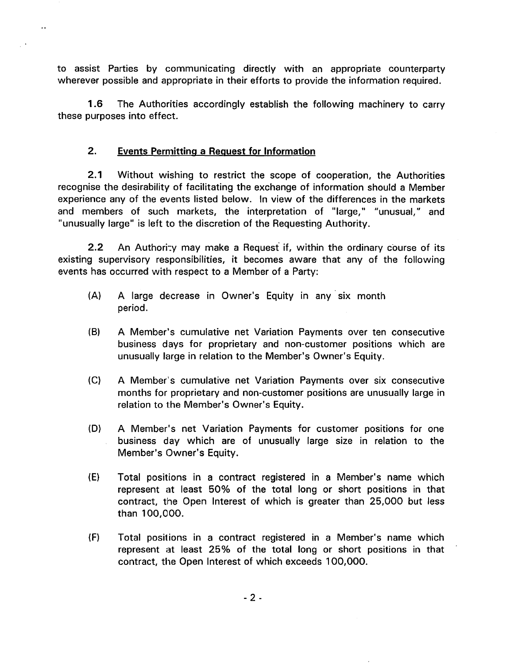to assist Parties by communicating directly with an appropriate counterparty wherever possible and appropriate in their efforts to provide the information required.

1.6 The Authorities accordingly establish the following machinery to carry these purposes into effect.

# 2. Events Permitting a Request for Information

2.1 Without wishing to restrict the scope of cooperation, the Authorities recognise the desirability of facilitating the exchange of information should a Member experience any of the events listed below. In view of the differences in the markets and members of such markets, the interpretation of "large," "unusual," and "unusually large" is left to the discretion of the Requesting Authority.

2.2 An Authority may make a Request if, within the ordinary course of its existing supervisory responsibilities, it becomes aware that any of the following events has occurred with respect to a Member of a Party:

- (A) A large decrease in Owner's Equity in any six month period.
- (B) A Member's cumulative net Variation Payments over ten consecutive business days for proprietary and non-customer positions which are unusually large in relation to the Member's Owner's Equity.
- (C) A Member's cumulative net Variation Payments over six consecutive months for proprietary and non-customer positions are unusually large in relation to the Member's Owner's Equity.
- (D) A Member's net Variation Payments for customer positions for one business day which are of unusually large size in relation to the Member's Owner's Equity.
- (E) Total positions in a contract registered in a Member's name which represent at least 50% of the total long or short positions in that contract, the Open Interest of which is greater than 25,000 but less than 100,000.
- (F) Total positions in a contract registered in a Member's name which represent at least 25% of the total long or short positions in that contract, the Open Interest of which exceeds 100,000.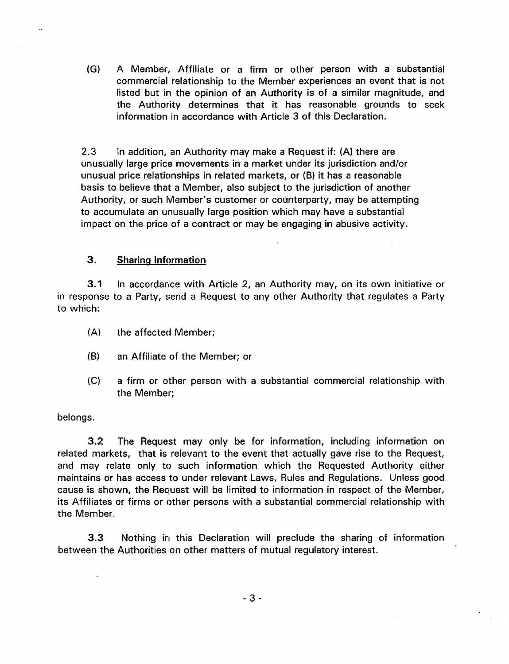(G) A Member, Affiliate or a firm or other person with a substantial commercial relationship to the Member experiences an event that is not listed but in the opinion of an Authority is of a similar magnitude, and the Authority determines that it has reasonable grounds to seek information in accordance with Article 3 of this Declaration.

2.3 In addition, an Authority may make a Request if: (A) there are unusually large price movements in a market under its jurisdiction and/or unusual price relationships in related markets, or (B) it has a reasonable basis to believe that a Member, also subject to the jurisdiction of another Authority, or such Member's customer or counterparty, may be attempting to accumulate an unusually large position which may have a substantial impact on the price of a contract or may be engaging in abusive activity.

### 3. Sharing Information

3.1 In accordance with Article 2, an Authority may, on its own initiative or in response to a Party, send a Request to any other Authority that regulates a Party to which:

- (A) the affected Member;
- (B) an Affiliate of the Member; or
- (C) a firm or other person with a substantial commercial relationship with the Member;

#### belongs.

3.2 The Request may only be for information, including information on related markets, that is relevant to the event that actually gave rise to the Request, and may relate only to such information which the Requested Authority either maintains or has access to under relevant Laws, Rules and Regulations. Unless good cause is shown, the Request will be limited to information in respect of the Member, its Affiliates or firms or other persons with a substantial commercial relationship with the Member.

3.3 Nothing in this Declaration will preclude the sharing of information between the Authorities on other matters of mutual regulatory interest.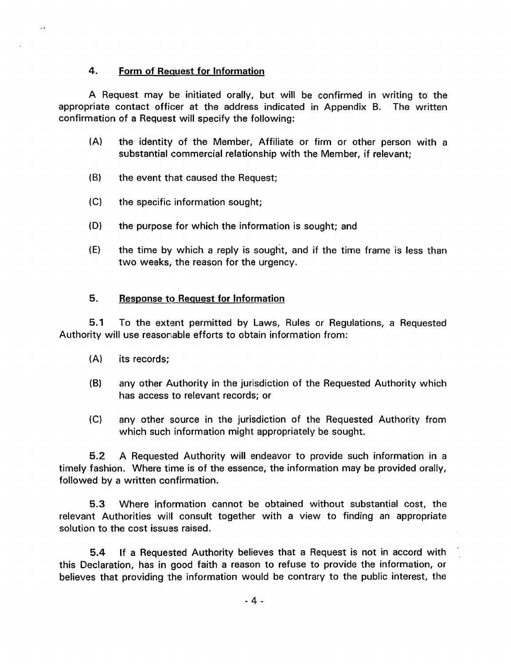### 4. Form of Request for Information

 $\ddot{\phantom{0}}$ 

A Request may be initiated orally, but will be confirmed in writing to the appropriate contact officer at the address indicated in Appendix B. The written confirmation of a Request will specify the following:

- (A) the identity of the Member, Affiliate or firm or other person with a substantial commercial relationship with the Member, if relevant;
- (8) the event that caused the Request;
- (C) the specific information sought;
- (D) the purpose for which the information is sought; and
- $(E)$  the time by which a reply is sought, and if the time frame is less than two weeks, the reason for the urgency.

## 5. Response to Request for Information

5.1 To the extent permitted by Laws, Rules or Regulations, a Requested Authority will use reasonable efforts to obtain information from:

- (A) its records;
- (8) any other Authority in the jurisdiction of the Requested Authority which has access to relevant records; or
- (C) any other source in the jurisdiction of the Requested Authority from which such information might appropriately be sought.

5.2 A Requested Authority will endeavor to provide such information in a timely fashion. Where time is of the essence, the information may be provided orally, followed by a written confirmation.

5.3 Where information cannot be obtained without substantial cost, the relevant Authorities will consult together with a view to finding an appropriate solution to the cost issues raised.

5.4 If a Requested Authority believes that a Request is not in accord with this Declaration, has in good faith a reason to refuse to provide the information, or believes that providing the information would be contrary to the public interest, the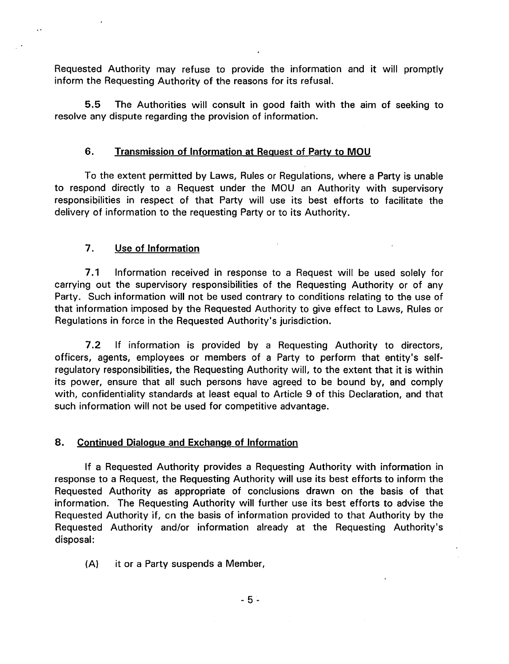Requested Authority may refuse to provide the information and it will promptly inform the Requesting Authority of the reasons for its refusal.

5.5 The Authorities will consult in good faith with the aim of seeking to resolve any dispute regarding the provision of information.

### 6. Transmission of Information at Request of Party to MOU

To the extent permitted by Laws, Rules or Regulations, where a Party is unable to respond directly to a Request under the MOU an Authority with supervisory responsibilities in respect of that Party will use its best efforts to facilitate the delivery of information to the requesting Party or to its Authority.

### 7. Use of Information

 $\ddot{\phantom{0}}$ 

7 .1 Information received in response to a Request will be used solely for carrying out the supervisory responsibilities of the Requesting Authority or of any Party. Such information will not be used contrary to conditions relating to the use of that information imposed by the Requested Authority to give effect to Laws, Rules or Regulations in force in the Requested Authority's jurisdiction.

7.2 If information is provided by a Requesting Authority to directors, officers, agents, employees or members of a Party to perform that entity's selfregulatory responsibilities, the Requesting Authority will, to the extent that it is within its power, ensure that all such persons have agreed to be bound by, and comply with, confidentiality standards at least equal to Article 9 of this Declaration, and that such information will not be used for competitive advantage.

#### 8. Continued Dialogue and Exchange of Information

If a Requested Authority provides a Requesting Authority with information in response to a Request, the Requesting Authority will use its best efforts to inform the Requested Authority as appropriate of conclusions drawn on the basis of that information. The Requesting Authority will further use its best efforts to advise the Requested Authority if, on the basis of information provided to that Authority by the Requested Authority and/or information already at the Requesting Authority's disposal:

(A) it or a Party suspends a Member,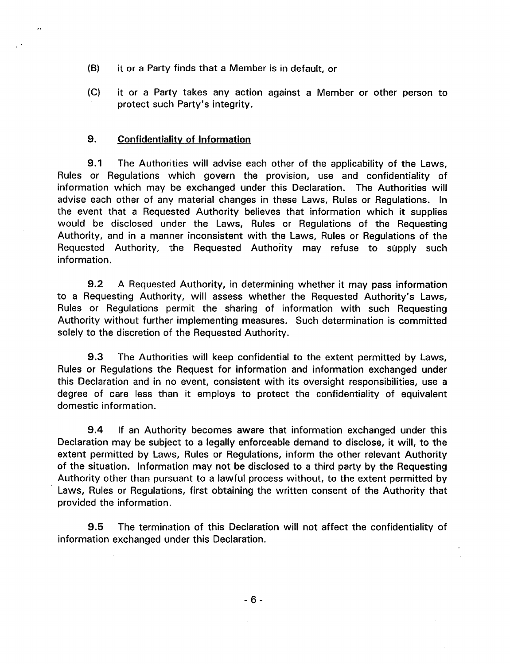- (8) it or a Party finds that a Member is in default, or
- (C) it or a Party takes any action against a Member or other person to protect such Party's integrity.

#### 9. Confidentiality of Information

 $\ddot{\phantom{0}}$ 

9.1 The Authorities will advise each other of the applicability of the Laws, Rules or Regulations which govern the provision, use and confidentiality of information which may be exchanged under this Declaration. The Authorities will advise each other of any material changes in these Laws, Rules or Regulations. In the event that a Requested Authority believes that information which it supplies would be disclosed under the Laws, Rules or Regulations of the Requesting Authority, and in a manner inconsistent with the Laws, Rules or Regulations of the Requested Authority, the Requested Authority may refuse to supply such information.

9.2 A Requested Authority, in determining whether it may pass information to a Requesting Authority, will assess whether the Requested Authority's Laws, Rules or Regulations permit the sharing of information with such Requesting Authority without further implementing measures. Such determination is committed solely to the discretion of the Requested Authority.

9.3 The Authorities will keep confidential to the extent permitted by Laws, Rules or Regulations the Request for information and information exchanged under this Declaration and in no event, consistent with its oversight responsibilities, use a degree of care less than it employs to protect the confidentiality of equivalent domestic information.

9.4 If an Authority becomes aware that information exchanged under this Declaration may be subject to a legally enforceable demand to disclose, it will, to the extent permitted by Laws, Rules or Regulations, inform the other relevant Authority of the situation. Information may not be disclosed to a third party by the Requesting Authority other than pursuant to a lawful process without, to the extent permitted by Laws, Rules or Regulations, first obtaining the written consent of the Authority that provided the information.

9.5 The termination of this Declaration will not affect the confidentiality of information exchanged under this Declaration.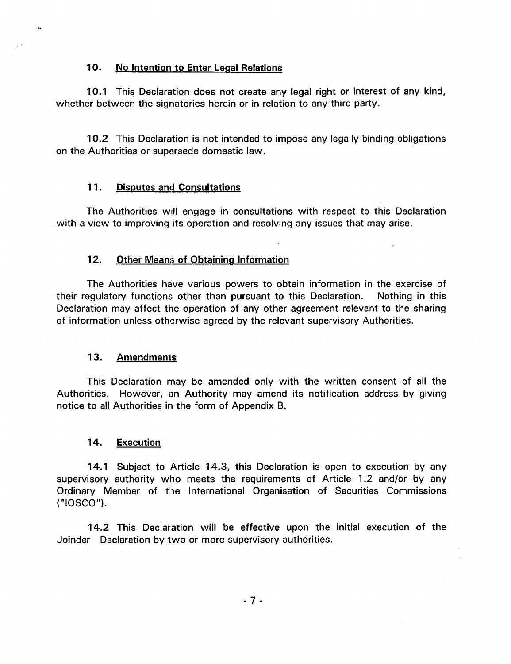### 10. No Intention to Enter Legal Relations

 $\sim$ 

10.1 This Declaration does not create any legal right or interest of any kind, whether between the signatories herein or in relation to any third party.

10.2 This Declaration is not intended to impose any legally binding obligations on the Authorities or supersede domestic law.

## 11. Disputes and Consultations

The Authorities will engage in consultations with respect to this Declaration with a view to improving its operation and resolving any issues that may arise.

## 12. Other Means of Obtaining Information

The Authorities have various powers to obtain information in the exercise of their regulatory functions other than pursuant to this Declaration. Nothing in this Declaration may affect the operation of any other agreement relevant to the sharing of information unless otherwise agreed by the relevant supervisory Authorities.

## 13. Amendments

This Declaration may be amended only with the written consent of all the Authorities. However, an Authority may amend its notification address by giving notice to all Authorities in the form of Appendix B.

## 14. Execution

14.1 Subject to Article 14.3, this Declaration is open to execution by any supervisory authority who meets the requirements of Article 1.2 and/or by any Ordinary Member of the International Organisation of Securities Commissions ("IOSCO").

14.2 This Declaration will be effective upon the initial execution of the Joinder Declaration by two or more supervisory authorities.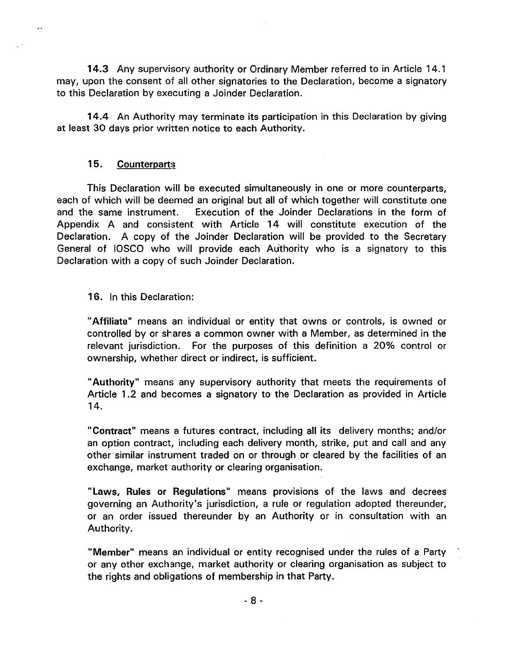14.3 Any supervisory authority or Ordinary Member referred to in Article 14. 1 may, upon the consent of all other signatories to the Declaration, become a signatory to this Declaration by executing a Joinder Declaration.

14.4 An Authority may terminate its participation in this Declaration by giving at least 30 days prior written notice to each Authority.

### 15. Counterparts

 $\ddot{\phantom{0}}$ 

This Declaration will be executed simultaneously in one or more counterparts, each of which will be deemed an original but all of which together will constitute one and the same instrument. Execution of the Joinder Declarations in the form of Appendix A and consistent with Article 14 will constitute execution of the Declaration. A copy of the Joinder Declaration will be provided to the Secretary General of IOSCO who will provide each Authority who is a signatory to this Declaration with a copy of such Joinder Declaration.

### 16. In this Declaration:

"Affiliate" means an individual or entity that owns or controls, is owned or controlled by or shares a common owner with a Member, as determined in the relevant jurisdiction. For the purposes of this definition a 20% control or ownership, whether direct or indirect, is sufficient.

"Authority" means any supervisory authority that meets the requirements of Article 1.2 and becomes a signatory to the Declaration as provided in Article 14.

"Contract" means a futures contract, including all its delivery months; and/or an option contract, including each delivery month, strike, put and call and any other similar instrument traded on or through or cleared by the facilities of an exchange, market authority or clearing organisation.

"Laws, Rules or Regulations" means provisions of the laws and decrees governing an Authority's jurisdiction, a rule or regulation adopted thereunder, or an order issued thereunder by an Authority or in consultation with an Authority.

"Member" means an individual or entity recognised under the rules of a Party or any other exchange, market authority or clearing organisation as subject to the rights and obligations of membership in that Party.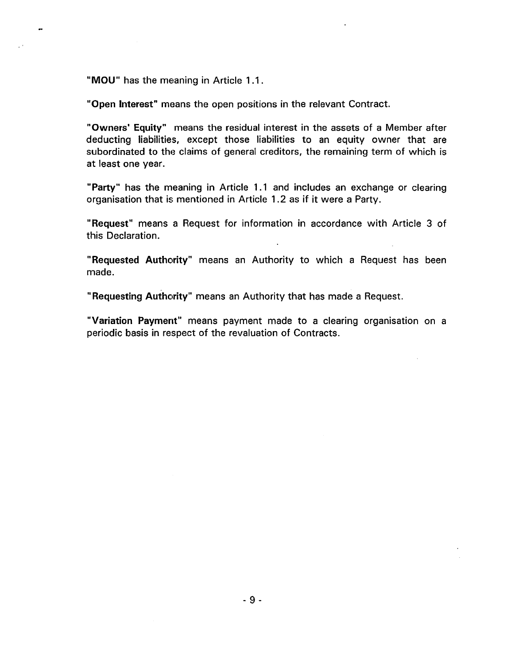"MOU" has the meaning in Article 1.1.

"Open Interest" means the open positions in the relevant Contract.

"Owners' Equity" means the residual interest in the assets of a Member after deducting liabilities, except those liabilities to an equity owner that are subordinated to the claims of general creditors, the remaining term of which is at least one year.

"Party" has the meaning in Article 1.1 and includes an exchange or clearing organisation that is mentioned in Article 1.2 as if it were a Party.

"Request" means a Request for information in accordance with Article 3 of this Declaration.

"Requested Authority" means an Authority to which a Request has been made.

"Requesting Authority" means an Authority that has made a Request.

"Variation Payment" means payment made to a clearing organisation on a periodic basis in respect of the revaluation of Contracts.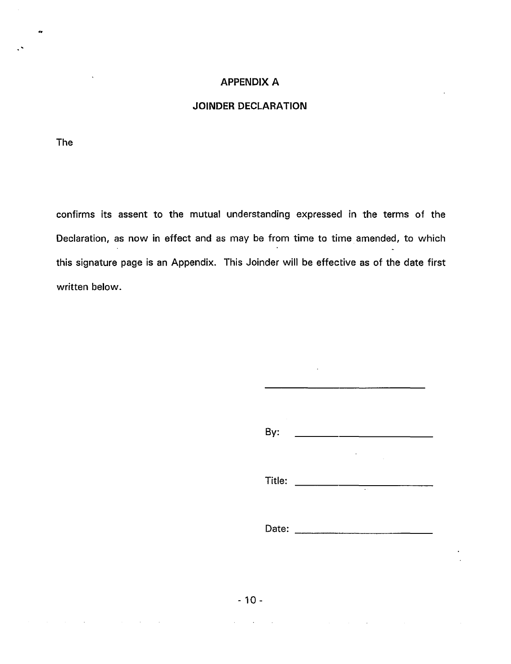### **APPENDIX A**

### **JOINDER DECLARATION**

The

..

confirms its assent to the mutual understanding expressed in the terms of the Declaration, as now in effect and as may be from time to time amended, to which this signature page is an Appendix. This Joinder will be effective as of the date first written below.

| By:    |                  |               |  |  |
|--------|------------------|---------------|--|--|
| Title: |                  | $\sim$ $\sim$ |  |  |
|        | Date: __________ |               |  |  |

 $\ddot{\phantom{a}}$